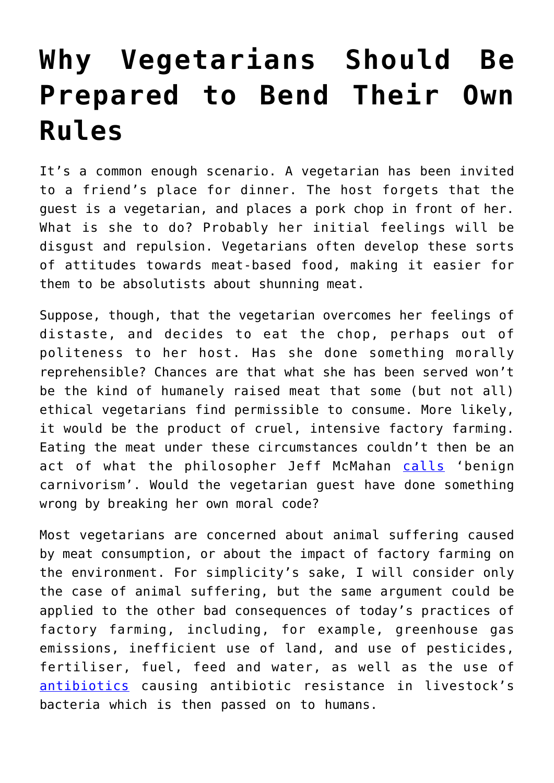## **[Why Vegetarians Should Be](https://intellectualtakeout.org/2017/08/why-vegetarians-should-be-prepared-to-bend-their-own-rules/) [Prepared to Bend Their Own](https://intellectualtakeout.org/2017/08/why-vegetarians-should-be-prepared-to-bend-their-own-rules/) [Rules](https://intellectualtakeout.org/2017/08/why-vegetarians-should-be-prepared-to-bend-their-own-rules/)**

It's a common enough scenario. A vegetarian has been invited to a friend's place for dinner. The host forgets that the guest is a vegetarian, and places a pork chop in front of her. What is she to do? Probably her initial feelings will be disgust and repulsion. Vegetarians often develop these sorts of attitudes towards meat-based food, making it easier for them to be absolutists about shunning meat.

Suppose, though, that the vegetarian overcomes her feelings of distaste, and decides to eat the chop, perhaps out of politeness to her host. Has she done something morally reprehensible? Chances are that what she has been served won't be the kind of humanely raised meat that some (but not all) ethical vegetarians find permissible to consume. More likely, it would be the product of cruel, intensive factory farming. Eating the meat under these circumstances couldn't then be an act of what the philosopher Jeff McMahan [calls](http://www.mitpressjournals.org/doi/abs/10.1162/daed.2008.137.1.66) 'benign carnivorism'. Would the vegetarian guest have done something wrong by breaking her own moral code?

Most vegetarians are concerned about animal suffering caused by meat consumption, or about the impact of factory farming on the environment. For simplicity's sake, I will consider only the case of animal suffering, but the same argument could be applied to the other bad consequences of today's practices of factory farming, including, for example, greenhouse gas emissions, inefficient use of land, and use of pesticides, fertiliser, fuel, feed and water, as well as the use of [antibiotics](https://amr-review.org/sites/default/files/Antimicrobials%20in%20agriculture%20and%20the%20environment%20-%20Reducing%20unnecessary%20use%20and%20waste.pdf) causing antibiotic resistance in livestock's bacteria which is then passed on to humans.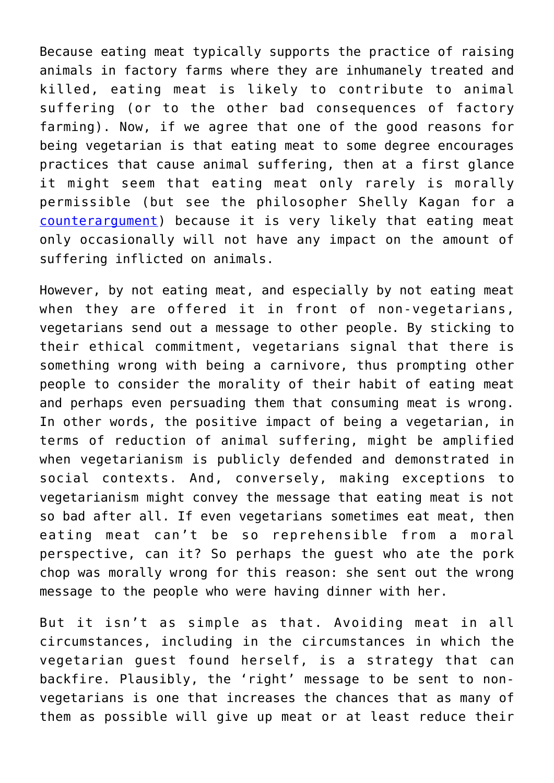Because eating meat typically supports the practice of raising animals in factory farms where they are inhumanely treated and killed, eating meat is likely to contribute to animal suffering (or to the other bad consequences of factory farming). Now, if we agree that one of the good reasons for being vegetarian is that eating meat to some degree encourages practices that cause animal suffering, then at a first glance it might seem that eating meat only rarely is morally permissible (but see the philosopher Shelly Kagan for a [counterargument\)](http://onlinelibrary.wiley.com/doi/10.1111/j.1088-4963.2011.01203.x/abstract) because it is very likely that eating meat only occasionally will not have any impact on the amount of suffering inflicted on animals.

However, by not eating meat, and especially by not eating meat when they are offered it in front of non-vegetarians, vegetarians send out a message to other people. By sticking to their ethical commitment, vegetarians signal that there is something wrong with being a carnivore, thus prompting other people to consider the morality of their habit of eating meat and perhaps even persuading them that consuming meat is wrong. In other words, the positive impact of being a vegetarian, in terms of reduction of animal suffering, might be amplified when vegetarianism is publicly defended and demonstrated in social contexts. And, conversely, making exceptions to vegetarianism might convey the message that eating meat is not so bad after all. If even vegetarians sometimes eat meat, then eating meat can't be so reprehensible from a moral perspective, can it? So perhaps the guest who ate the pork chop was morally wrong for this reason: she sent out the wrong message to the people who were having dinner with her.

But it isn't as simple as that. Avoiding meat in all circumstances, including in the circumstances in which the vegetarian guest found herself, is a strategy that can backfire. Plausibly, the 'right' message to be sent to nonvegetarians is one that increases the chances that as many of them as possible will give up meat or at least reduce their